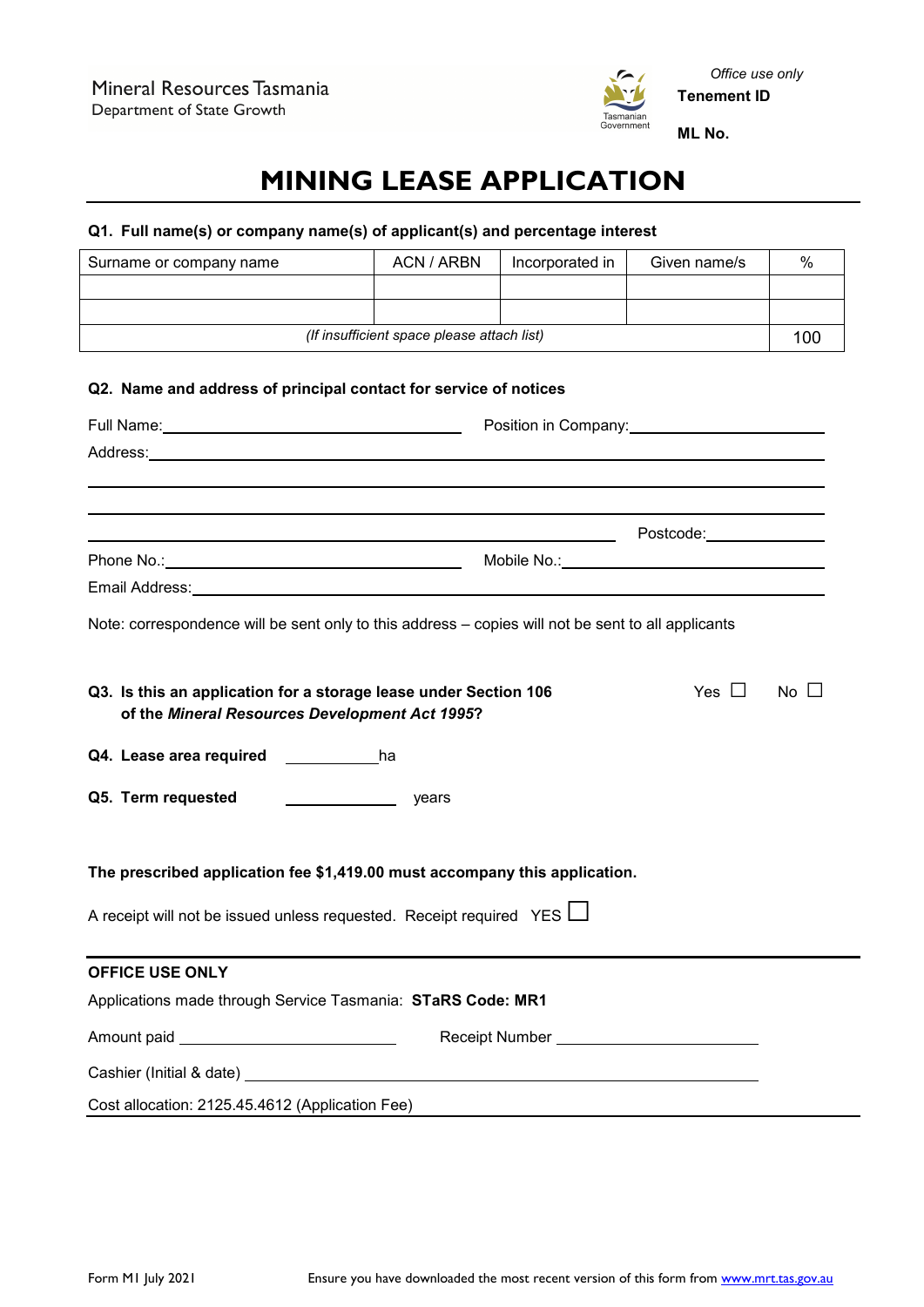

# **MINING LEASE APPLICATION**

# **Q1. Full name(s) or company name(s) of applicant(s) and percentage interest**

| Surname or company name                                                                                                                                                                                                        | <b>ACN / ARBN</b>                          | Incorporated in | Given name/s | $\%$      |
|--------------------------------------------------------------------------------------------------------------------------------------------------------------------------------------------------------------------------------|--------------------------------------------|-----------------|--------------|-----------|
|                                                                                                                                                                                                                                |                                            |                 |              |           |
|                                                                                                                                                                                                                                |                                            |                 |              |           |
|                                                                                                                                                                                                                                | (If insufficient space please attach list) |                 |              | 100       |
|                                                                                                                                                                                                                                |                                            |                 |              |           |
| Q2. Name and address of principal contact for service of notices                                                                                                                                                               |                                            |                 |              |           |
|                                                                                                                                                                                                                                |                                            |                 |              |           |
| Address: experience and a series of the contract of the contract of the contract of the contract of the contract of the contract of the contract of the contract of the contract of the contract of the contract of the contra |                                            |                 |              |           |
|                                                                                                                                                                                                                                |                                            |                 |              |           |
| ,我们也不会有什么。""我们的人,我们也不会有什么?""我们的人,我们也不会有什么?""我们的人,我们也不会有什么?""我们的人,我们也不会有什么?""我们的人                                                                                                                                               |                                            |                 |              |           |
|                                                                                                                                                                                                                                |                                            |                 |              |           |
|                                                                                                                                                                                                                                |                                            |                 |              |           |
|                                                                                                                                                                                                                                |                                            |                 |              |           |
| Note: correspondence will be sent only to this address - copies will not be sent to all applicants                                                                                                                             |                                            |                 |              |           |
|                                                                                                                                                                                                                                |                                            |                 |              |           |
| Q3. Is this an application for a storage lease under Section 106                                                                                                                                                               |                                            |                 | Yes $\Box$   | $No \Box$ |
| of the Mineral Resources Development Act 1995?                                                                                                                                                                                 |                                            |                 |              |           |
|                                                                                                                                                                                                                                |                                            |                 |              |           |
| Q4. Lease area required ____________________ha                                                                                                                                                                                 |                                            |                 |              |           |
| Q5. Term requested<br><u> Louis Communication</u><br>years                                                                                                                                                                     |                                            |                 |              |           |
|                                                                                                                                                                                                                                |                                            |                 |              |           |
|                                                                                                                                                                                                                                |                                            |                 |              |           |
| The prescribed application fee \$1,419.00 must accompany this application.                                                                                                                                                     |                                            |                 |              |           |
| A receipt will not be issued unless requested. Receipt required YES L                                                                                                                                                          |                                            |                 |              |           |
|                                                                                                                                                                                                                                |                                            |                 |              |           |
| <b>OFFICE USE ONLY</b>                                                                                                                                                                                                         |                                            |                 |              |           |
| Applications made through Service Tasmania: STaRS Code: MR1                                                                                                                                                                    |                                            |                 |              |           |
|                                                                                                                                                                                                                                |                                            |                 |              |           |
| Amount paid ________________________________                                                                                                                                                                                   |                                            |                 |              |           |
|                                                                                                                                                                                                                                |                                            |                 |              |           |
| Cost allocation: 2125.45.4612 (Application Fee)                                                                                                                                                                                |                                            |                 |              |           |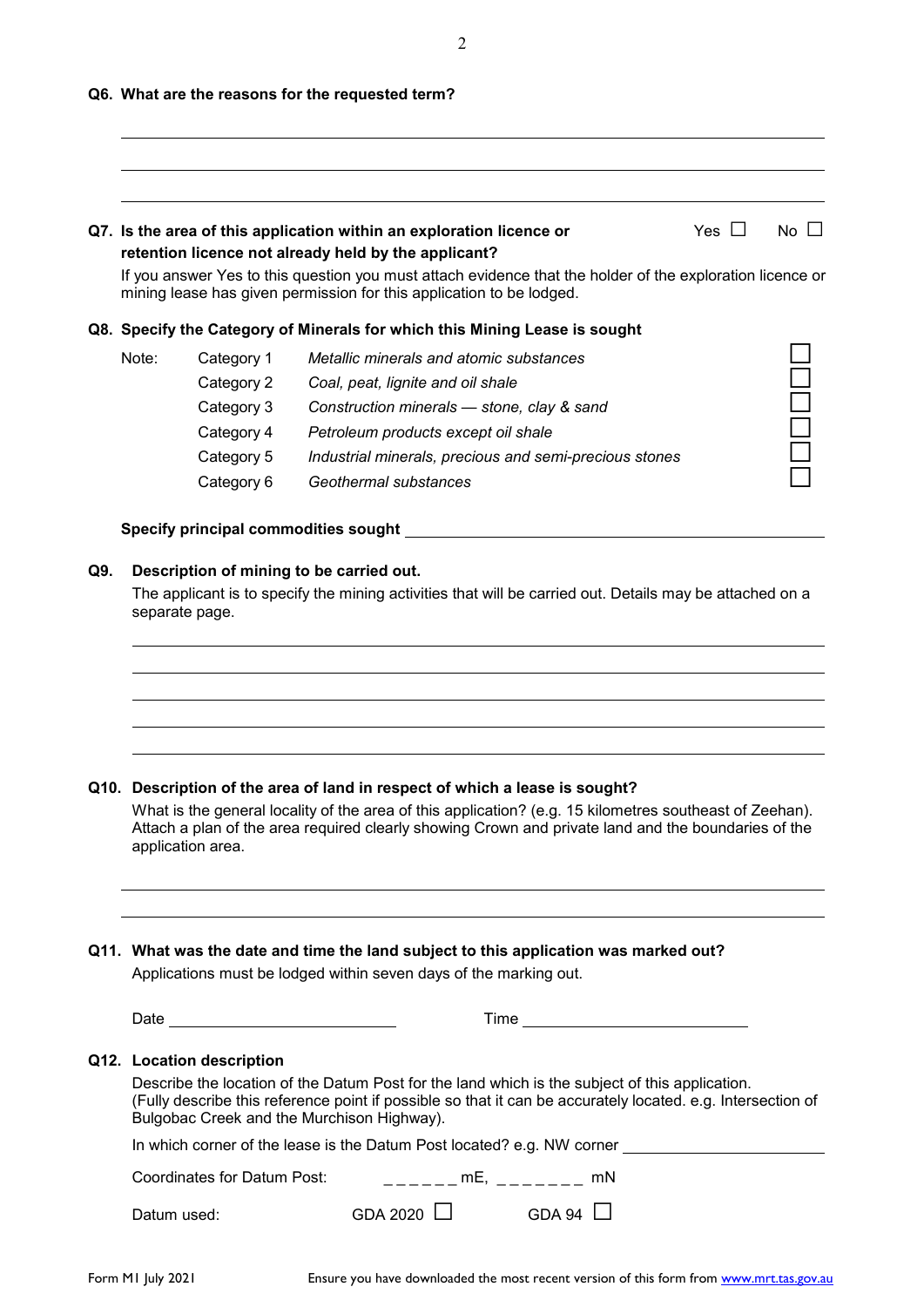2

#### **Q6. What are the reasons for the requested term?**

## **Q7.** Is the area of this application within an exploration licence or Yes □ No □ **retention licence not already held by the applicant?**

If you answer Yes to this question you must attach evidence that the holder of the exploration licence or mining lease has given permission for this application to be lodged.

| Q8.  Specify the Category of Minerals for which this Mining Lease is sought |            |                                                        |  |
|-----------------------------------------------------------------------------|------------|--------------------------------------------------------|--|
| Note:                                                                       | Category 1 | Metallic minerals and atomic substances                |  |
|                                                                             | Category 2 | Coal, peat, lignite and oil shale                      |  |
|                                                                             | Category 3 | Construction minerals - stone, clay & sand             |  |
|                                                                             | Category 4 | Petroleum products except oil shale                    |  |
|                                                                             | Category 5 | Industrial minerals, precious and semi-precious stones |  |
|                                                                             | Category 6 | Geothermal substances                                  |  |
|                                                                             |            |                                                        |  |

#### **Specify principal commodities sought**

#### **Q9. Description of mining to be carried out.**

The applicant is to specify the mining activities that will be carried out. Details may be attached on a separate page.

#### **Q10. Description of the area of land in respect of which a lease is sought?**

What is the general locality of the area of this application? (e.g. 15 kilometres southeast of Zeehan). Attach a plan of the area required clearly showing Crown and private land and the boundaries of the application area.

**Q11. What was the date and time the land subject to this application was marked out?** Applications must be lodged within seven days of the marking out.

| Date                                                                                                                                                                                                             | Time |  |
|------------------------------------------------------------------------------------------------------------------------------------------------------------------------------------------------------------------|------|--|
| the contract of the contract of the contract of the contract of the contract of<br>the contract of the contract of the<br>the contract of the contract of the contract of<br>the contract of the contract of the |      |  |

# **Q12. Location description**

Describe the location of the Datum Post for the land which is the subject of this application. (Fully describe this reference point if possible so that it can be accurately located. e.g. Intersection of Bulgobac Creek and the Murchison Highway). In which corner of the lease is the Datum Post located? e.g.  $N$ 

| in which corner of the lease is the Datum Post located? e.g. NVV corner |                 |               |  |  |
|-------------------------------------------------------------------------|-----------------|---------------|--|--|
| Coordinates for Datum Post:                                             | mE.             | mN            |  |  |
| Datum used:                                                             | GDA 2020 $\Box$ | GDA 94 $\Box$ |  |  |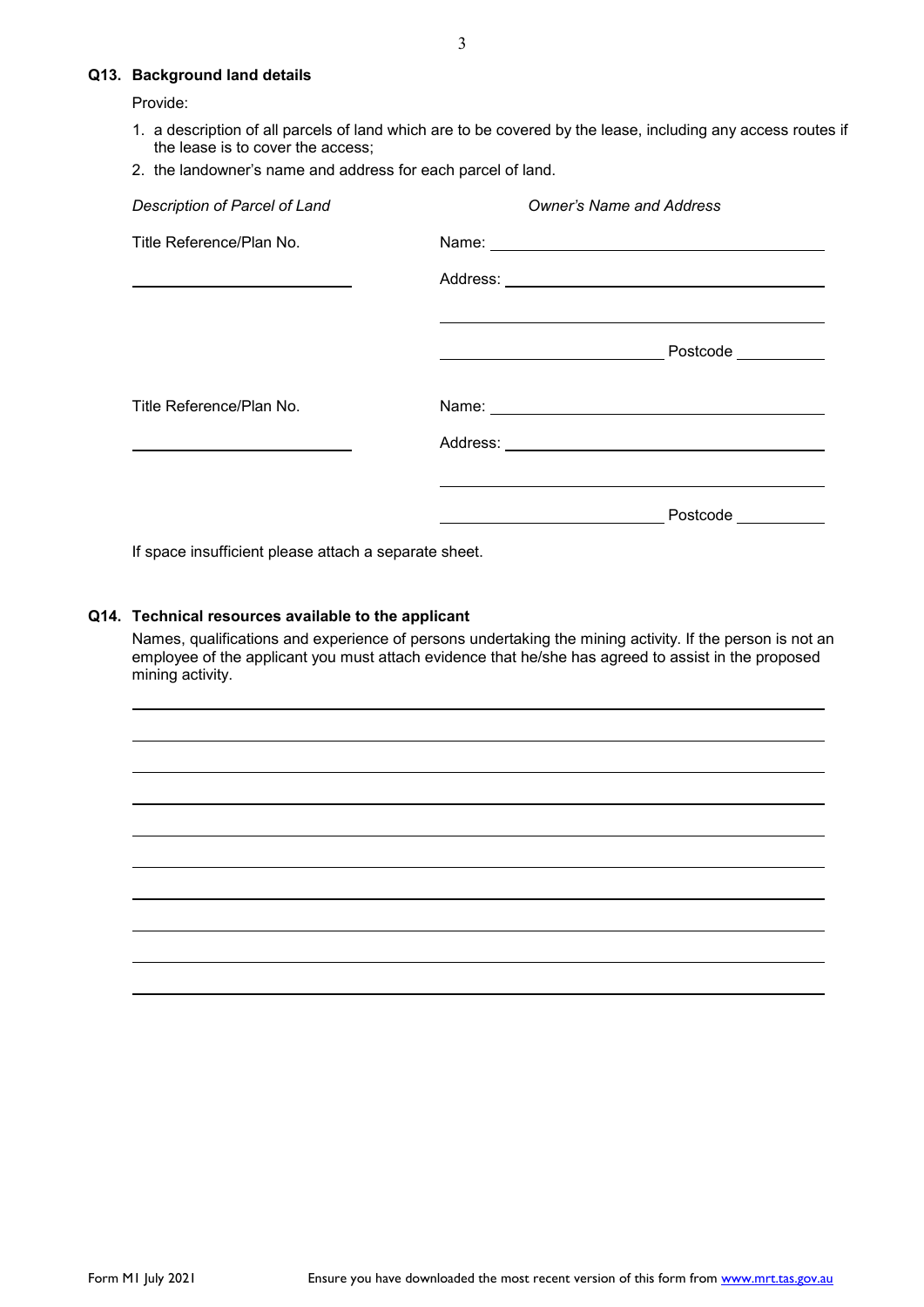### **Q13. Background land details**

Provide:

- 1. a description of all parcels of land which are to be covered by the lease, including any access routes if the lease is to cover the access;
- 2. the landowner's name and address for each parcel of land.

| Description of Parcel of Land                                       | <b>Owner's Name and Address</b>                                                                                                                                                                                                      |  |
|---------------------------------------------------------------------|--------------------------------------------------------------------------------------------------------------------------------------------------------------------------------------------------------------------------------------|--|
| Title Reference/Plan No.                                            |                                                                                                                                                                                                                                      |  |
| <u> 1989 - Andrea Stadt Britain, amerikansk politiker (d. 1989)</u> |                                                                                                                                                                                                                                      |  |
|                                                                     | Postcode __________<br><u> 1989 - Johann Barn, fransk politik fotograf (d. 1982)</u>                                                                                                                                                 |  |
| Title Reference/Plan No.                                            | Name: <u>2000 - 2000 - 2000 - 2000 - 2000 - 2000 - 2000 - 2000 - 2000 - 2000 - 2000 - 2000 - 2000 - 2000 - 2000 - 2000 - 2000 - 2000 - 2000 - 2000 - 2000 - 2000 - 2000 - 2000 - 2000 - 2000 - 2000 - 2000 - 2000 - 2000 - 2000 </u> |  |
|                                                                     |                                                                                                                                                                                                                                      |  |
|                                                                     | Postcode                                                                                                                                                                                                                             |  |

If space insufficient please attach a separate sheet.

### **Q14. Technical resources available to the applicant**

Names, qualifications and experience of persons undertaking the mining activity. If the person is not an employee of the applicant you must attach evidence that he/she has agreed to assist in the proposed mining activity.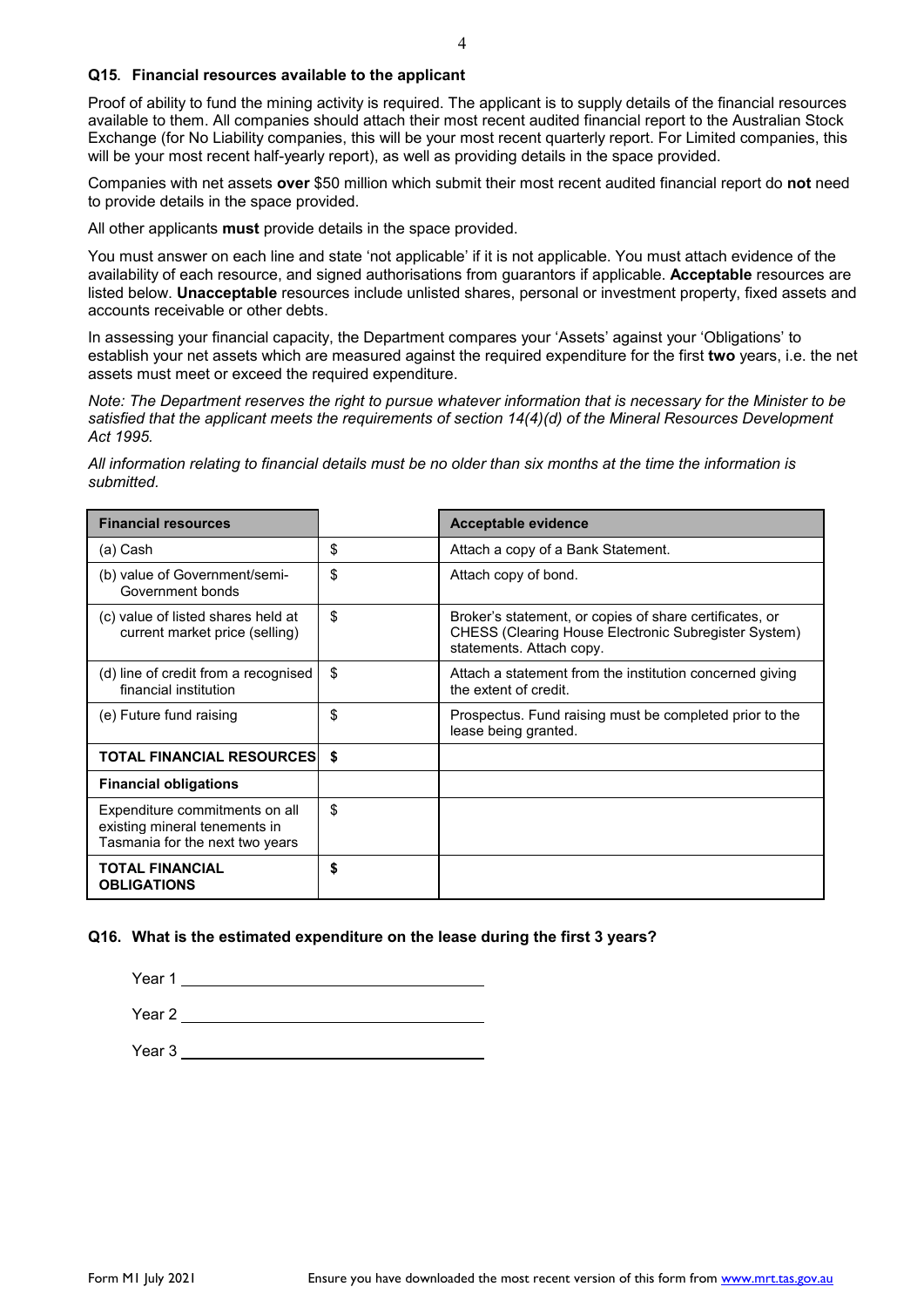### **Q15. Financial resources available to the applicant**

Proof of ability to fund the mining activity is required. The applicant is to supply details of the financial resources available to them. All companies should attach their most recent audited financial report to the Australian Stock Exchange (for No Liability companies, this will be your most recent quarterly report. For Limited companies, this will be your most recent half-yearly report), as well as providing details in the space provided.

Companies with net assets **over** \$50 million which submit their most recent audited financial report do **not** need to provide details in the space provided.

All other applicants **must** provide details in the space provided.

You must answer on each line and state 'not applicable' if it is not applicable. You must attach evidence of the availability of each resource, and signed authorisations from guarantors if applicable. **Acceptable** resources are listed below. **Unacceptable** resources include unlisted shares, personal or investment property, fixed assets and accounts receivable or other debts.

In assessing your financial capacity, the Department compares your 'Assets' against your 'Obligations' to establish your net assets which are measured against the required expenditure for the first **two** years, i.e. the net assets must meet or exceed the required expenditure.

*Note: The Department reserves the right to pursue whatever information that is necessary for the Minister to be satisfied that the applicant meets the requirements of section 14(4)(d) of the Mineral Resources Development Act 1995.*

*All information relating to financial details must be no older than six months at the time the information is submitted.* 

| <b>Financial resources</b>                                                                         |    | <b>Acceptable evidence</b>                                                                                                                  |
|----------------------------------------------------------------------------------------------------|----|---------------------------------------------------------------------------------------------------------------------------------------------|
| (a) Cash                                                                                           | \$ | Attach a copy of a Bank Statement.                                                                                                          |
| (b) value of Government/semi-<br>Government bonds                                                  | \$ | Attach copy of bond.                                                                                                                        |
| (c) value of listed shares held at<br>current market price (selling)                               | \$ | Broker's statement, or copies of share certificates, or<br>CHESS (Clearing House Electronic Subregister System)<br>statements. Attach copy. |
| (d) line of credit from a recognised<br>financial institution                                      | \$ | Attach a statement from the institution concerned giving<br>the extent of credit.                                                           |
| (e) Future fund raising                                                                            | \$ | Prospectus. Fund raising must be completed prior to the<br>lease being granted.                                                             |
| <b>TOTAL FINANCIAL RESOURCESI</b>                                                                  | S. |                                                                                                                                             |
| <b>Financial obligations</b>                                                                       |    |                                                                                                                                             |
| Expenditure commitments on all<br>existing mineral tenements in<br>Tasmania for the next two years | \$ |                                                                                                                                             |
| <b>TOTAL FINANCIAL</b><br><b>OBLIGATIONS</b>                                                       | \$ |                                                                                                                                             |

#### **Q16. What is the estimated expenditure on the lease during the first 3 years?**

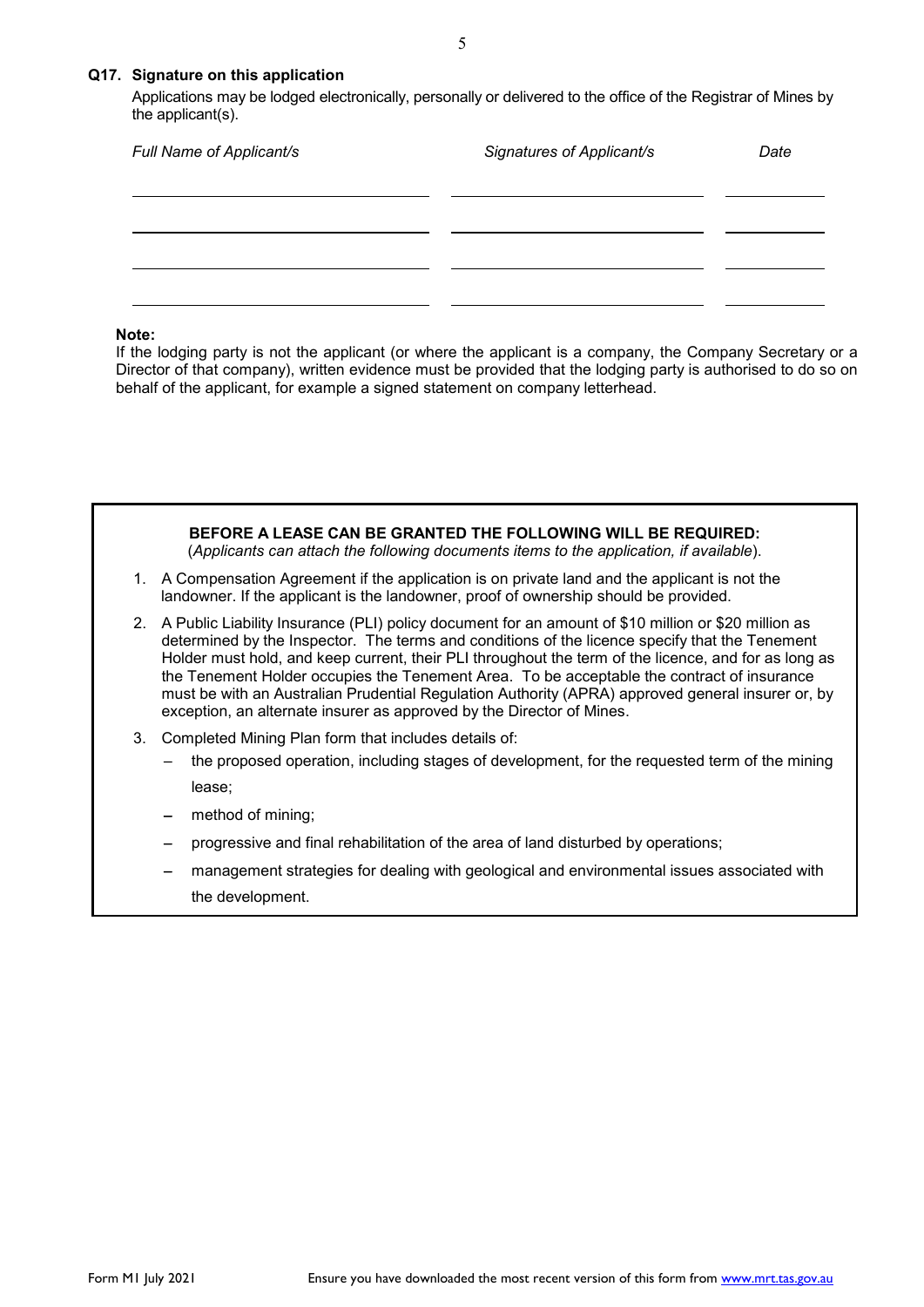### **Q17. Signature on this application**

Applications may be lodged electronically, personally or delivered to the office of the Registrar of Mines by the applicant(s).

| Full Name of Applicant/s | Signatures of Applicant/s | Date |
|--------------------------|---------------------------|------|
|                          |                           |      |
|                          |                           |      |
|                          |                           |      |

#### **Note:**

If the lodging party is not the applicant (or where the applicant is a company, the Company Secretary or a Director of that company), written evidence must be provided that the lodging party is authorised to do so on behalf of the applicant, for example a signed statement on company letterhead.



- method of mining;
- progressive and final rehabilitation of the area of land disturbed by operations;
- management strategies for dealing with geological and environmental issues associated with the development.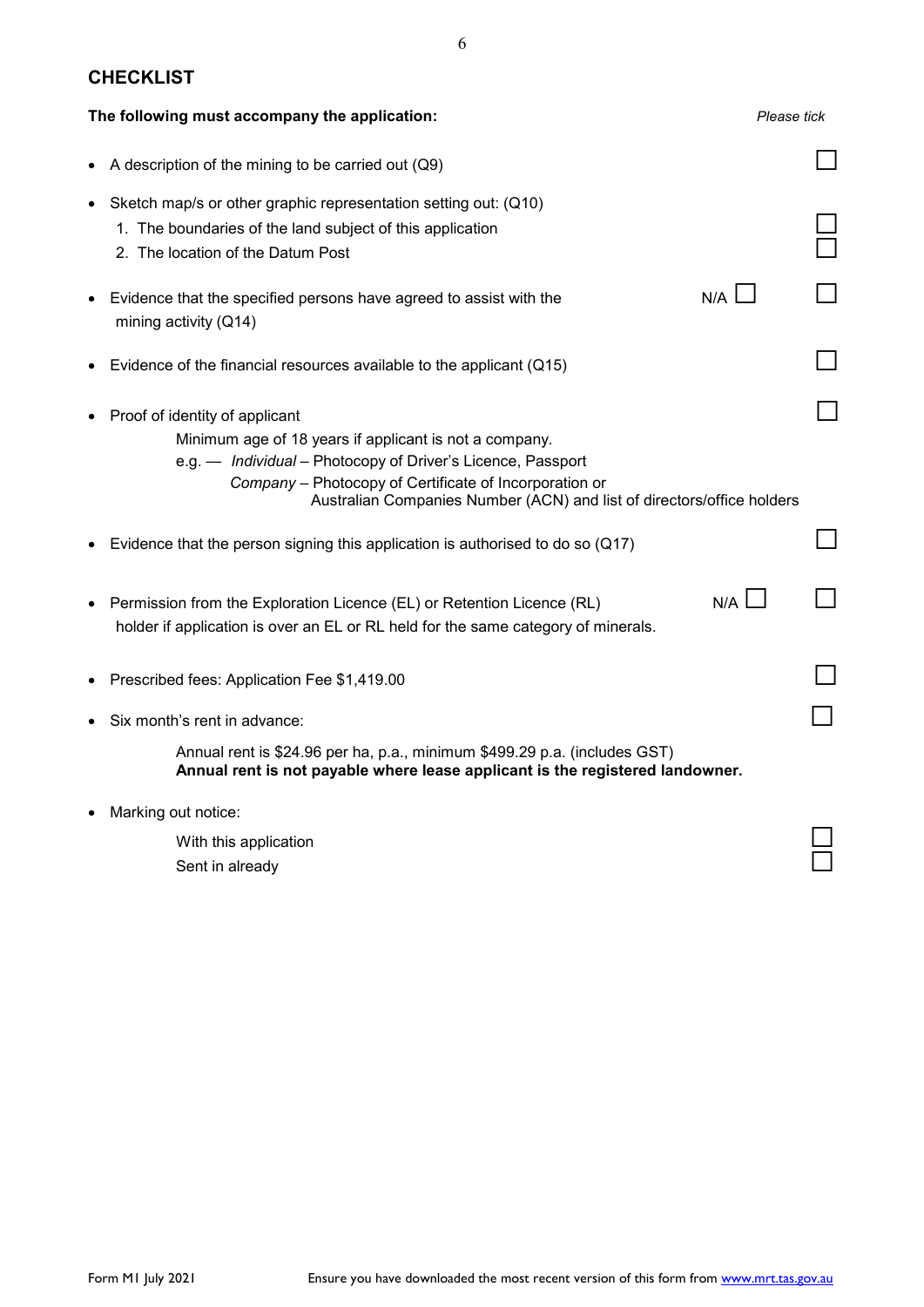# **CHECKLIST**

|           | The following must accompany the application:                                                                                                                                                                                                                                               | Please tick |
|-----------|---------------------------------------------------------------------------------------------------------------------------------------------------------------------------------------------------------------------------------------------------------------------------------------------|-------------|
|           | A description of the mining to be carried out (Q9)                                                                                                                                                                                                                                          |             |
| $\bullet$ | Sketch map/s or other graphic representation setting out: (Q10)<br>1. The boundaries of the land subject of this application<br>2. The location of the Datum Post                                                                                                                           |             |
|           | N/A<br>• Evidence that the specified persons have agreed to assist with the<br>mining activity (Q14)                                                                                                                                                                                        |             |
|           | Evidence of the financial resources available to the applicant (Q15)                                                                                                                                                                                                                        |             |
|           | Proof of identity of applicant<br>Minimum age of 18 years if applicant is not a company.<br>e.g. - Individual - Photocopy of Driver's Licence, Passport<br>Company - Photocopy of Certificate of Incorporation or<br>Australian Companies Number (ACN) and list of directors/office holders |             |
|           | Evidence that the person signing this application is authorised to do so $(Q17)$                                                                                                                                                                                                            |             |
|           | $N/A$ $\Box$<br>Permission from the Exploration Licence (EL) or Retention Licence (RL)<br>holder if application is over an EL or RL held for the same category of minerals.                                                                                                                 |             |
|           | Prescribed fees: Application Fee \$1,419.00                                                                                                                                                                                                                                                 |             |
|           | Six month's rent in advance:                                                                                                                                                                                                                                                                |             |
|           | Annual rent is \$24.96 per ha, p.a., minimum \$499.29 p.a. (includes GST)<br>Annual rent is not payable where lease applicant is the registered landowner.                                                                                                                                  |             |
|           | Marking out notice:                                                                                                                                                                                                                                                                         |             |
|           | With this application<br>Sent in already                                                                                                                                                                                                                                                    |             |
|           |                                                                                                                                                                                                                                                                                             |             |